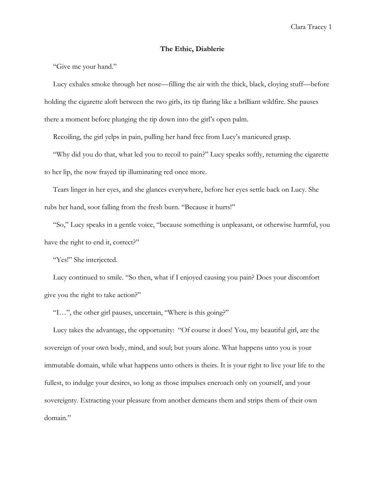## **The Ethic, Diablerie**

"Give me your hand."

Lucy exhales smoke through her nose—filling the air with the thick, black, cloying stuff—before holding the cigarette aloft between the two girls, its tip flaring like a brilliant wildfire. She pauses there a moment before plunging the tip down into the girl's open palm.

Recoiling, the girl yelps in pain, pulling her hand free from Lucy's manicured grasp.

"Why did you do that, what led you to recoil to pain?" Lucy speaks softly, returning the cigarette to her lip, the now frayed tip illuminating red once more.

Tears linger in her eyes, and she glances everywhere, before her eyes settle back on Lucy. She rubs her hand, soot falling from the fresh burn. "Because it hurts!"

"So," Lucy speaks in a gentle voice, "because something is unpleasant, or otherwise harmful, you have the right to end it, correct?"

"Yes!" She interjected.

Lucy continued to smile. "So then, what if I enjoyed causing you pain? Does your discomfort give you the right to take action?"

"I…", the other girl pauses, uncertain, "Where is this going?"

Lucy takes the advantage, the opportunity: "Of course it does! You, my beautiful girl, are the sovereign of your own body, mind, and soul; but yours alone. What happens unto you is your immutable domain, while what happens unto others is theirs. It is your right to live your life to the fullest, to indulge your desires, so long as those impulses encroach only on yourself, and your sovereignty. Extracting your pleasure from another demeans them and strips them of their own domain."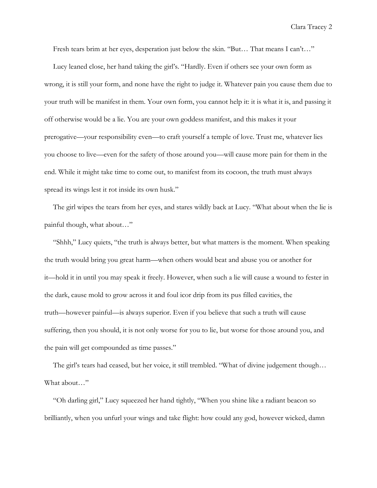Clara Tracey 2

Fresh tears brim at her eyes, desperation just below the skin. "But… That means I can't…"

Lucy leaned close, her hand taking the girl's. "Hardly. Even if others see your own form as wrong, it is still your form, and none have the right to judge it. Whatever pain you cause them due to your truth will be manifest in them. Your own form, you cannot help it: it is what it is, and passing it off otherwise would be a lie. You are your own goddess manifest, and this makes it your prerogative—your responsibility even—to craft yourself a temple of love. Trust me, whatever lies you choose to live—even for the safety of those around you—will cause more pain for them in the end. While it might take time to come out, to manifest from its cocoon, the truth must always spread its wings lest it rot inside its own husk."

The girl wipes the tears from her eyes, and stares wildly back at Lucy. "What about when the lie is painful though, what about…"

"Shhh," Lucy quiets, "the truth is always better, but what matters is the moment. When speaking the truth would bring you great harm—when others would beat and abuse you or another for it—hold it in until you may speak it freely. However, when such a lie will cause a wound to fester in the dark, cause mold to grow across it and foul icor drip from its pus filled cavities, the truth—however painful—is always superior. Even if you believe that such a truth will cause suffering, then you should, it is not only worse for you to lie, but worse for those around you, and the pain will get compounded as time passes."

The girl's tears had ceased, but her voice, it still trembled. "What of divine judgement though… What about…"

"Oh darling girl," Lucy squeezed her hand tightly, "When you shine like a radiant beacon so brilliantly, when you unfurl your wings and take flight: how could any god, however wicked, damn